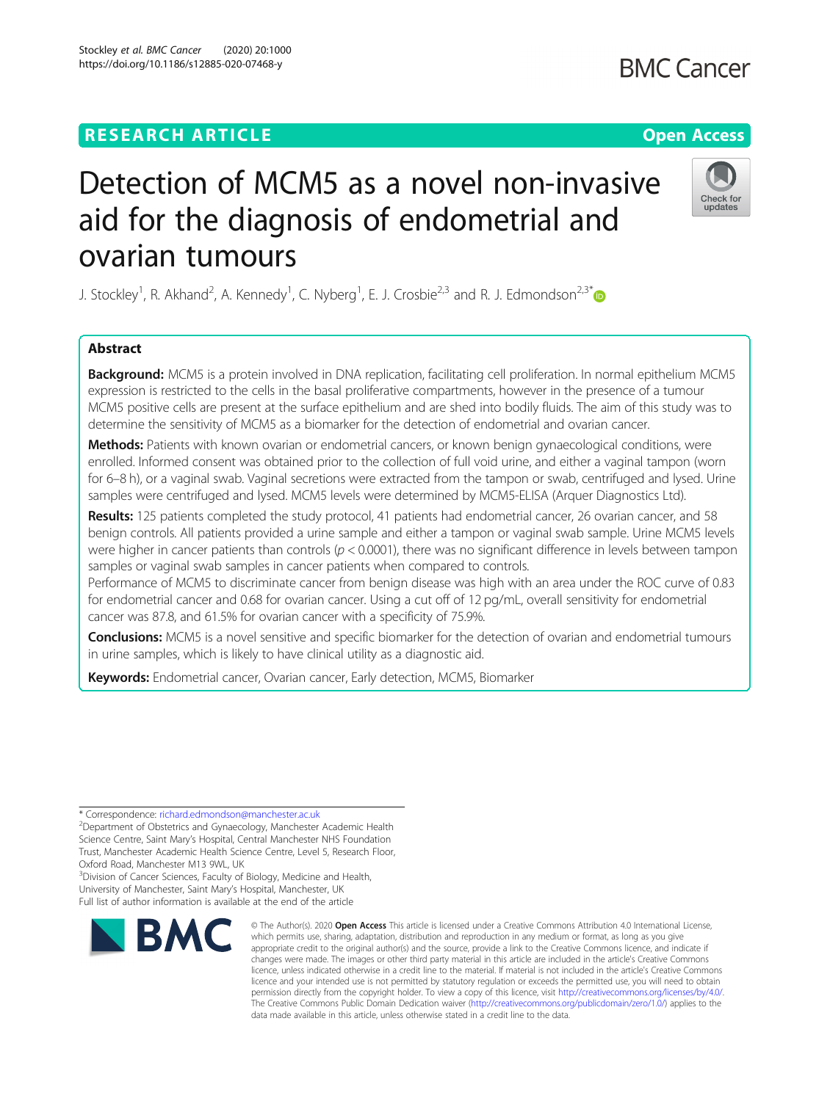# **RESEARCH ARTICLE Example 2014 12:30 The Open Access**

# Detection of MCM5 as a novel non-invasive aid for the diagnosis of endometrial and ovarian tumours

J. Stockley<sup>1</sup>, R. Akhand<sup>2</sup>, A. Kennedy<sup>1</sup>, C. Nyberg<sup>1</sup>, E. J. Crosbie<sup>2,3</sup> and R. J. Edmondson<sup>2,3\*</sup>

# Abstract

Background: MCM5 is a protein involved in DNA replication, facilitating cell proliferation. In normal epithelium MCM5 expression is restricted to the cells in the basal proliferative compartments, however in the presence of a tumour MCM5 positive cells are present at the surface epithelium and are shed into bodily fluids. The aim of this study was to determine the sensitivity of MCM5 as a biomarker for the detection of endometrial and ovarian cancer.

Methods: Patients with known ovarian or endometrial cancers, or known benign gynaecological conditions, were enrolled. Informed consent was obtained prior to the collection of full void urine, and either a vaginal tampon (worn for 6–8 h), or a vaginal swab. Vaginal secretions were extracted from the tampon or swab, centrifuged and lysed. Urine samples were centrifuged and lysed. MCM5 levels were determined by MCM5-ELISA (Arquer Diagnostics Ltd).

Results: 125 patients completed the study protocol, 41 patients had endometrial cancer, 26 ovarian cancer, and 58 benign controls. All patients provided a urine sample and either a tampon or vaginal swab sample. Urine MCM5 levels were higher in cancer patients than controls ( $p < 0.0001$ ), there was no significant difference in levels between tampon samples or vaginal swab samples in cancer patients when compared to controls.

Performance of MCM5 to discriminate cancer from benign disease was high with an area under the ROC curve of 0.83 for endometrial cancer and 0.68 for ovarian cancer. Using a cut off of 12 pg/mL, overall sensitivity for endometrial cancer was 87.8, and 61.5% for ovarian cancer with a specificity of 75.9%.

Conclusions: MCM5 is a novel sensitive and specific biomarker for the detection of ovarian and endometrial tumours in urine samples, which is likely to have clinical utility as a diagnostic aid.

Keywords: Endometrial cancer, Ovarian cancer, Early detection, MCM5, Biomarker

\* Correspondence: [richard.edmondson@manchester.ac.uk](mailto:richard.edmondson@manchester.ac.uk) <sup>2</sup>

Department of Obstetrics and Gynaecology, Manchester Academic Health Science Centre, Saint Mary's Hospital, Central Manchester NHS Foundation Trust, Manchester Academic Health Science Centre, Level 5, Research Floor, Oxford Road, Manchester M13 9WL, UK

<sup>3</sup> Division of Cancer Sciences, Faculty of Biology, Medicine and Health, University of Manchester, Saint Mary's Hospital, Manchester, UK Full list of author information is available at the end of the article



<sup>©</sup> The Author(s), 2020 **Open Access** This article is licensed under a Creative Commons Attribution 4.0 International License, which permits use, sharing, adaptation, distribution and reproduction in any medium or format, as long as you give appropriate credit to the original author(s) and the source, provide a link to the Creative Commons licence, and indicate if changes were made. The images or other third party material in this article are included in the article's Creative Commons licence, unless indicated otherwise in a credit line to the material. If material is not included in the article's Creative Commons licence and your intended use is not permitted by statutory regulation or exceeds the permitted use, you will need to obtain permission directly from the copyright holder. To view a copy of this licence, visit [http://creativecommons.org/licenses/by/4.0/.](http://creativecommons.org/licenses/by/4.0/) The Creative Commons Public Domain Dedication waiver [\(http://creativecommons.org/publicdomain/zero/1.0/](http://creativecommons.org/publicdomain/zero/1.0/)) applies to the data made available in this article, unless otherwise stated in a credit line to the data.

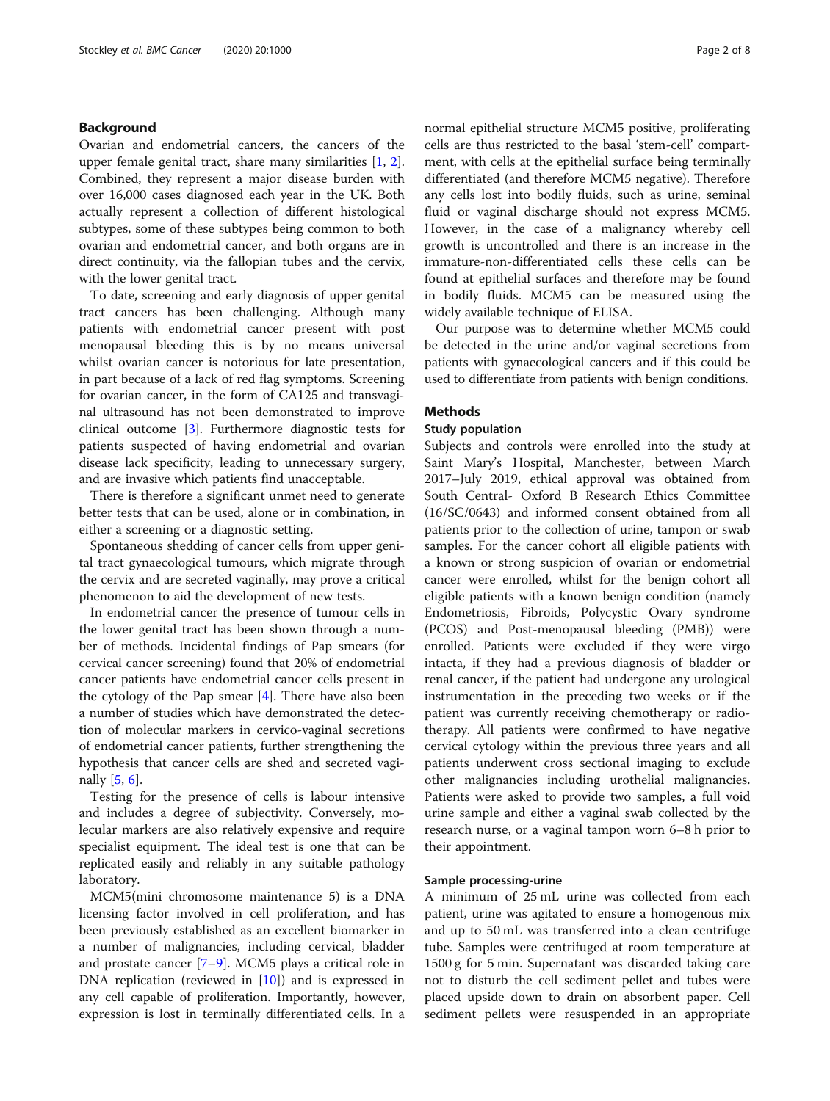# Background

Ovarian and endometrial cancers, the cancers of the upper female genital tract, share many similarities [[1,](#page-7-0) [2](#page-7-0)]. Combined, they represent a major disease burden with over 16,000 cases diagnosed each year in the UK. Both actually represent a collection of different histological subtypes, some of these subtypes being common to both ovarian and endometrial cancer, and both organs are in direct continuity, via the fallopian tubes and the cervix, with the lower genital tract.

To date, screening and early diagnosis of upper genital tract cancers has been challenging. Although many patients with endometrial cancer present with post menopausal bleeding this is by no means universal whilst ovarian cancer is notorious for late presentation, in part because of a lack of red flag symptoms. Screening for ovarian cancer, in the form of CA125 and transvaginal ultrasound has not been demonstrated to improve clinical outcome [\[3](#page-7-0)]. Furthermore diagnostic tests for patients suspected of having endometrial and ovarian disease lack specificity, leading to unnecessary surgery, and are invasive which patients find unacceptable.

There is therefore a significant unmet need to generate better tests that can be used, alone or in combination, in either a screening or a diagnostic setting.

Spontaneous shedding of cancer cells from upper genital tract gynaecological tumours, which migrate through the cervix and are secreted vaginally, may prove a critical phenomenon to aid the development of new tests.

In endometrial cancer the presence of tumour cells in the lower genital tract has been shown through a number of methods. Incidental findings of Pap smears (for cervical cancer screening) found that 20% of endometrial cancer patients have endometrial cancer cells present in the cytology of the Pap smear [\[4](#page-7-0)]. There have also been a number of studies which have demonstrated the detection of molecular markers in cervico-vaginal secretions of endometrial cancer patients, further strengthening the hypothesis that cancer cells are shed and secreted vaginally [\[5](#page-7-0), [6](#page-7-0)].

Testing for the presence of cells is labour intensive and includes a degree of subjectivity. Conversely, molecular markers are also relatively expensive and require specialist equipment. The ideal test is one that can be replicated easily and reliably in any suitable pathology laboratory.

MCM5(mini chromosome maintenance 5) is a DNA licensing factor involved in cell proliferation, and has been previously established as an excellent biomarker in a number of malignancies, including cervical, bladder and prostate cancer [\[7](#page-7-0)–[9\]](#page-7-0). MCM5 plays a critical role in DNA replication (reviewed in [[10\]](#page-7-0)) and is expressed in any cell capable of proliferation. Importantly, however, expression is lost in terminally differentiated cells. In a normal epithelial structure MCM5 positive, proliferating cells are thus restricted to the basal 'stem-cell' compartment, with cells at the epithelial surface being terminally differentiated (and therefore MCM5 negative). Therefore any cells lost into bodily fluids, such as urine, seminal fluid or vaginal discharge should not express MCM5. However, in the case of a malignancy whereby cell growth is uncontrolled and there is an increase in the immature-non-differentiated cells these cells can be found at epithelial surfaces and therefore may be found in bodily fluids. MCM5 can be measured using the widely available technique of ELISA.

Our purpose was to determine whether MCM5 could be detected in the urine and/or vaginal secretions from patients with gynaecological cancers and if this could be used to differentiate from patients with benign conditions.

#### **Methods**

#### Study population

Subjects and controls were enrolled into the study at Saint Mary's Hospital, Manchester, between March 2017–July 2019, ethical approval was obtained from South Central- Oxford B Research Ethics Committee (16/SC/0643) and informed consent obtained from all patients prior to the collection of urine, tampon or swab samples. For the cancer cohort all eligible patients with a known or strong suspicion of ovarian or endometrial cancer were enrolled, whilst for the benign cohort all eligible patients with a known benign condition (namely Endometriosis, Fibroids, Polycystic Ovary syndrome (PCOS) and Post-menopausal bleeding (PMB)) were enrolled. Patients were excluded if they were virgo intacta, if they had a previous diagnosis of bladder or renal cancer, if the patient had undergone any urological instrumentation in the preceding two weeks or if the patient was currently receiving chemotherapy or radiotherapy. All patients were confirmed to have negative cervical cytology within the previous three years and all patients underwent cross sectional imaging to exclude other malignancies including urothelial malignancies. Patients were asked to provide two samples, a full void urine sample and either a vaginal swab collected by the research nurse, or a vaginal tampon worn 6–8 h prior to their appointment.

## Sample processing-urine

A minimum of 25 mL urine was collected from each patient, urine was agitated to ensure a homogenous mix and up to 50 mL was transferred into a clean centrifuge tube. Samples were centrifuged at room temperature at 1500 g for 5 min. Supernatant was discarded taking care not to disturb the cell sediment pellet and tubes were placed upside down to drain on absorbent paper. Cell sediment pellets were resuspended in an appropriate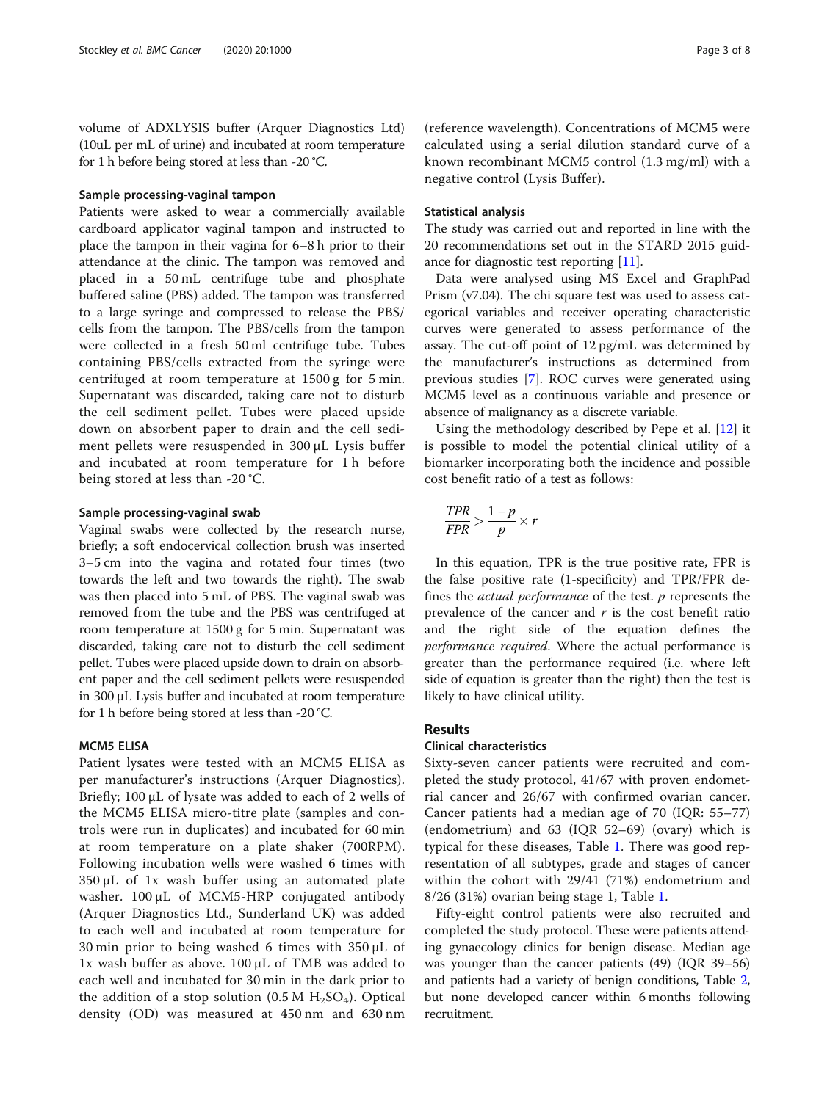volume of ADXLYSIS buffer (Arquer Diagnostics Ltd) (10uL per mL of urine) and incubated at room temperature for 1 h before being stored at less than -20 °C.

# Sample processing-vaginal tampon

Patients were asked to wear a commercially available cardboard applicator vaginal tampon and instructed to place the tampon in their vagina for 6–8 h prior to their attendance at the clinic. The tampon was removed and placed in a 50 mL centrifuge tube and phosphate buffered saline (PBS) added. The tampon was transferred to a large syringe and compressed to release the PBS/ cells from the tampon. The PBS/cells from the tampon were collected in a fresh 50 ml centrifuge tube. Tubes containing PBS/cells extracted from the syringe were centrifuged at room temperature at 1500 g for 5 min. Supernatant was discarded, taking care not to disturb the cell sediment pellet. Tubes were placed upside down on absorbent paper to drain and the cell sediment pellets were resuspended in 300 μL Lysis buffer and incubated at room temperature for 1 h before being stored at less than -20 °C.

#### Sample processing-vaginal swab

Vaginal swabs were collected by the research nurse, briefly; a soft endocervical collection brush was inserted 3–5 cm into the vagina and rotated four times (two towards the left and two towards the right). The swab was then placed into 5 mL of PBS. The vaginal swab was removed from the tube and the PBS was centrifuged at room temperature at 1500 g for 5 min. Supernatant was discarded, taking care not to disturb the cell sediment pellet. Tubes were placed upside down to drain on absorbent paper and the cell sediment pellets were resuspended in 300 μL Lysis buffer and incubated at room temperature for 1 h before being stored at less than -20 °C.

# MCM5 ELISA

Patient lysates were tested with an MCM5 ELISA as per manufacturer's instructions (Arquer Diagnostics). Briefly; 100 μL of lysate was added to each of 2 wells of the MCM5 ELISA micro-titre plate (samples and controls were run in duplicates) and incubated for 60 min at room temperature on a plate shaker (700RPM). Following incubation wells were washed 6 times with  $350 \mu L$  of 1x wash buffer using an automated plate washer. 100 μL of MCM5-HRP conjugated antibody (Arquer Diagnostics Ltd., Sunderland UK) was added to each well and incubated at room temperature for 30 min prior to being washed 6 times with 350 μL of 1x wash buffer as above. 100 μL of TMB was added to each well and incubated for 30 min in the dark prior to the addition of a stop solution  $(0.5 M H<sub>2</sub>SO<sub>4</sub>)$ . Optical density (OD) was measured at 450 nm and 630 nm

(reference wavelength). Concentrations of MCM5 were calculated using a serial dilution standard curve of a known recombinant MCM5 control (1.3 mg/ml) with a negative control (Lysis Buffer).

### Statistical analysis

The study was carried out and reported in line with the 20 recommendations set out in the STARD 2015 guidance for diagnostic test reporting [[11](#page-7-0)].

Data were analysed using MS Excel and GraphPad Prism (v7.04). The chi square test was used to assess categorical variables and receiver operating characteristic curves were generated to assess performance of the assay. The cut-off point of 12 pg/mL was determined by the manufacturer's instructions as determined from previous studies [\[7](#page-7-0)]. ROC curves were generated using MCM5 level as a continuous variable and presence or absence of malignancy as a discrete variable.

Using the methodology described by Pepe et al. [[12](#page-7-0)] it is possible to model the potential clinical utility of a biomarker incorporating both the incidence and possible cost benefit ratio of a test as follows:

$$
\frac{TPR}{FPR} > \frac{1-p}{p} \times r
$$

In this equation, TPR is the true positive rate, FPR is the false positive rate (1-specificity) and TPR/FPR defines the *actual performance* of the test.  $p$  represents the prevalence of the cancer and  $r$  is the cost benefit ratio and the right side of the equation defines the performance required. Where the actual performance is greater than the performance required (i.e. where left side of equation is greater than the right) then the test is likely to have clinical utility.

# Results

# Clinical characteristics

Sixty-seven cancer patients were recruited and completed the study protocol, 41/67 with proven endometrial cancer and 26/67 with confirmed ovarian cancer. Cancer patients had a median age of 70 (IQR: 55–77) (endometrium) and 63 (IQR 52–69) (ovary) which is typical for these diseases, Table [1.](#page-3-0) There was good representation of all subtypes, grade and stages of cancer within the cohort with 29/41 (71%) endometrium and 8/26 (31%) ovarian being stage 1, Table [1](#page-3-0).

Fifty-eight control patients were also recruited and completed the study protocol. These were patients attending gynaecology clinics for benign disease. Median age was younger than the cancer patients (49) (IQR 39–56) and patients had a variety of benign conditions, Table [2](#page-3-0), but none developed cancer within 6 months following recruitment.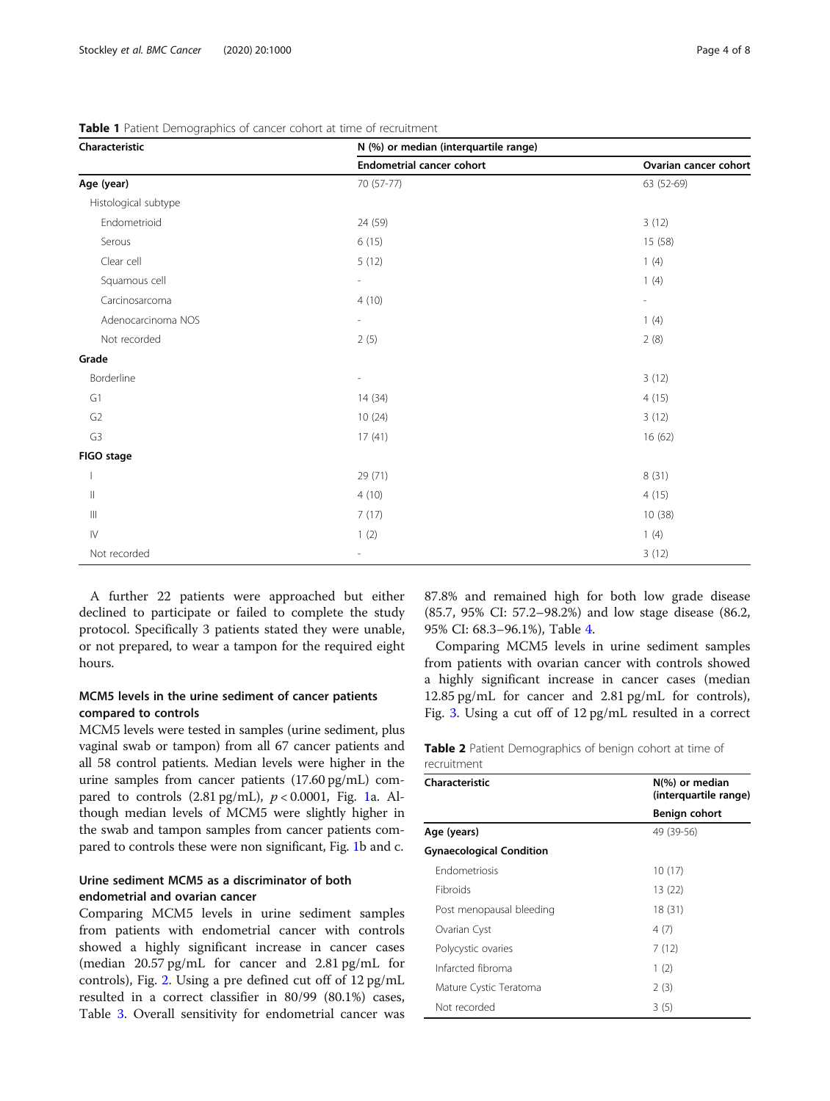| Characteristic                     | N (%) or median (interquartile range) |                          |  |  |
|------------------------------------|---------------------------------------|--------------------------|--|--|
|                                    | <b>Endometrial cancer cohort</b>      | Ovarian cancer cohort    |  |  |
| Age (year)                         | 70 (57-77)                            | 63 (52-69)               |  |  |
| Histological subtype               |                                       |                          |  |  |
| Endometrioid                       | 24 (59)                               | 3(12)                    |  |  |
| Serous                             | 6(15)                                 | 15 (58)                  |  |  |
| Clear cell                         | 5(12)                                 | 1(4)                     |  |  |
| Squamous cell                      | $\overline{\phantom{a}}$              | 1(4)                     |  |  |
| Carcinosarcoma                     | 4(10)                                 | $\overline{\phantom{a}}$ |  |  |
| Adenocarcinoma NOS                 | $\overline{\phantom{a}}$              | 1(4)                     |  |  |
| Not recorded                       | 2(5)                                  | 2(8)                     |  |  |
| Grade                              |                                       |                          |  |  |
| Borderline                         | $\overline{a}$                        | 3(12)                    |  |  |
| G1                                 | 14(34)                                | 4(15)                    |  |  |
| ${\sf G2}$                         | 10(24)                                | 3(12)                    |  |  |
| G <sub>3</sub>                     | 17(41)                                | 16 (62)                  |  |  |
| FIGO stage                         |                                       |                          |  |  |
|                                    | 29 (71)                               | 8(31)                    |  |  |
| $\parallel$                        | 4(10)                                 | 4(15)                    |  |  |
| $\ensuremath{\mathsf{III}}\xspace$ | 7(17)                                 | 10 (38)                  |  |  |
| ${\sf IV}$                         | 1(2)                                  | 1(4)                     |  |  |
| Not recorded                       |                                       | 3(12)                    |  |  |

<span id="page-3-0"></span>Table 1 Patient Demographics of cancer cohort at time of recruitment

A further 22 patients were approached but either declined to participate or failed to complete the study protocol. Specifically 3 patients stated they were unable, or not prepared, to wear a tampon for the required eight hours.

# MCM5 levels in the urine sediment of cancer patients compared to controls

MCM5 levels were tested in samples (urine sediment, plus vaginal swab or tampon) from all 67 cancer patients and all 58 control patients. Median levels were higher in the urine samples from cancer patients (17.60 pg/mL) compared to controls  $(2.81 \text{ pg/mL})$  $(2.81 \text{ pg/mL})$  $(2.81 \text{ pg/mL})$ ,  $p < 0.0001$ , Fig. 1a. Although median levels of MCM5 were slightly higher in the swab and tampon samples from cancer patients compared to controls these were non significant, Fig. [1](#page-4-0)b and c.

# Urine sediment MCM5 as a discriminator of both endometrial and ovarian cancer

Comparing MCM5 levels in urine sediment samples from patients with endometrial cancer with controls showed a highly significant increase in cancer cases (median 20.57 pg/mL for cancer and 2.81 pg/mL for controls), Fig. [2](#page-4-0). Using a pre defined cut off of 12 pg/mL resulted in a correct classifier in 80/99 (80.1%) cases, Table [3](#page-4-0). Overall sensitivity for endometrial cancer was 87.8% and remained high for both low grade disease (85.7, 95% CI: 57.2–98.2%) and low stage disease (86.2, 95% CI: 68.3–96.1%), Table [4.](#page-5-0)

Comparing MCM5 levels in urine sediment samples from patients with ovarian cancer with controls showed a highly significant increase in cancer cases (median 12.85 pg/mL for cancer and 2.81 pg/mL for controls), Fig. [3.](#page-5-0) Using a cut off of 12 pg/mL resulted in a correct

| Table 2 Patient Demographics of benign cohort at time of |  |  |  |  |  |
|----------------------------------------------------------|--|--|--|--|--|
| recruitment                                              |  |  |  |  |  |

| Characteristic                  | $N\left(\%\right)$ or median<br>(interquartile range) |  |  |
|---------------------------------|-------------------------------------------------------|--|--|
|                                 | Benign cohort                                         |  |  |
| Age (years)                     | 49 (39-56)                                            |  |  |
| <b>Gynaecological Condition</b> |                                                       |  |  |
| <b>Endometriosis</b>            | 10(17)                                                |  |  |
| <b>Fibroids</b>                 | 13 (22)                                               |  |  |
| Post menopausal bleeding        | 18(31)                                                |  |  |
| Ovarian Cyst                    | 4(7)                                                  |  |  |
| Polycystic ovaries              | 7(12)                                                 |  |  |
| Infarcted fibroma               | 1(2)                                                  |  |  |
| Mature Cystic Teratoma          | 2(3)                                                  |  |  |
| Not recorded                    | 3(5)                                                  |  |  |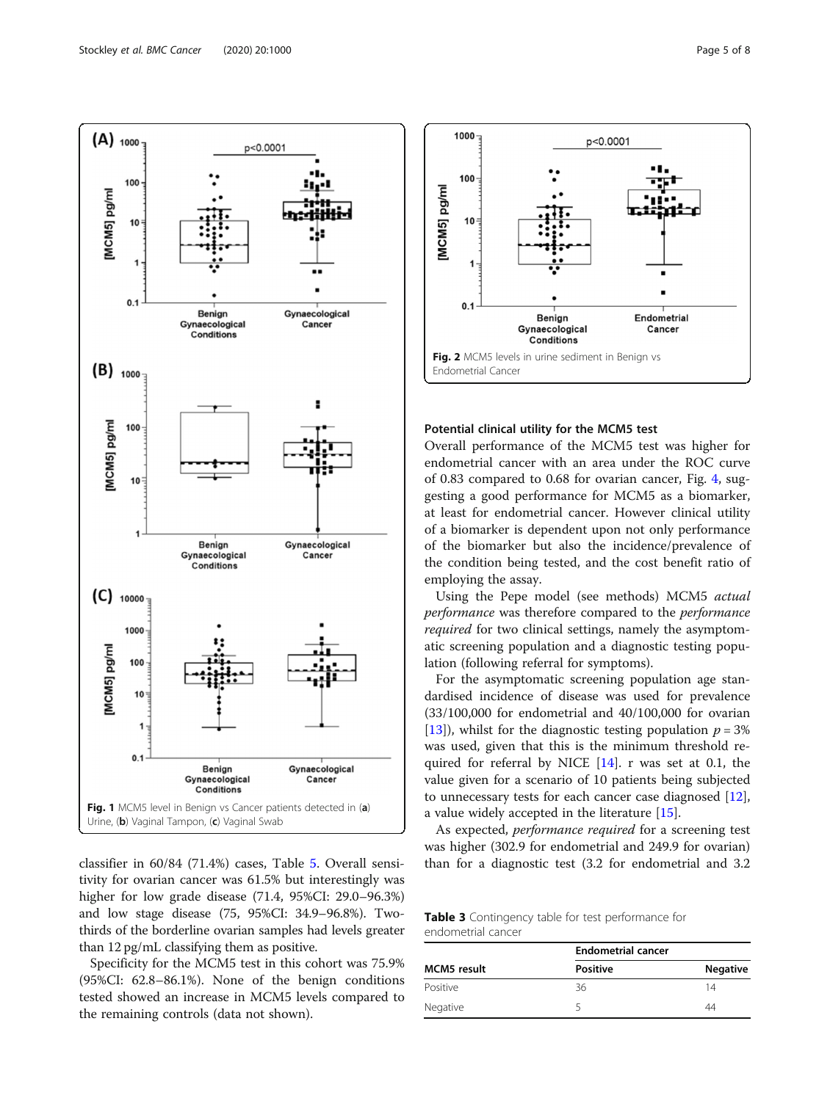<span id="page-4-0"></span>

classifier in 60/84 (71.4%) cases, Table [5](#page-5-0). Overall sensitivity for ovarian cancer was 61.5% but interestingly was higher for low grade disease (71.4, 95%CI: 29.0–96.3%) and low stage disease (75, 95%CI: 34.9–96.8%). Twothirds of the borderline ovarian samples had levels greater than 12 pg/mL classifying them as positive.

Specificity for the MCM5 test in this cohort was 75.9% (95%CI: 62.8–86.1%). None of the benign conditions tested showed an increase in MCM5 levels compared to the remaining controls (data not shown).



#### Potential clinical utility for the MCM5 test

Overall performance of the MCM5 test was higher for endometrial cancer with an area under the ROC curve of 0.83 compared to 0.68 for ovarian cancer, Fig. [4,](#page-6-0) suggesting a good performance for MCM5 as a biomarker, at least for endometrial cancer. However clinical utility of a biomarker is dependent upon not only performance of the biomarker but also the incidence/prevalence of the condition being tested, and the cost benefit ratio of employing the assay.

Using the Pepe model (see methods) MCM5 actual performance was therefore compared to the performance required for two clinical settings, namely the asymptomatic screening population and a diagnostic testing population (following referral for symptoms).

For the asymptomatic screening population age standardised incidence of disease was used for prevalence (33/100,000 for endometrial and 40/100,000 for ovarian [[13\]](#page-7-0)), whilst for the diagnostic testing population  $p = 3\%$ was used, given that this is the minimum threshold required for referral by NICE  $[14]$ . r was set at 0.1, the value given for a scenario of 10 patients being subjected to unnecessary tests for each cancer case diagnosed [\[12](#page-7-0)], a value widely accepted in the literature [[15\]](#page-7-0).

As expected, performance required for a screening test was higher (302.9 for endometrial and 249.9 for ovarian) than for a diagnostic test (3.2 for endometrial and 3.2

Table 3 Contingency table for test performance for endometrial cancer

|                    | <b>Endometrial cancer</b> |                 |  |
|--------------------|---------------------------|-----------------|--|
| <b>MCM5</b> result | <b>Positive</b>           | <b>Negative</b> |  |
| Positive           | 36                        | 14              |  |
| Negative           |                           | ΔΔ              |  |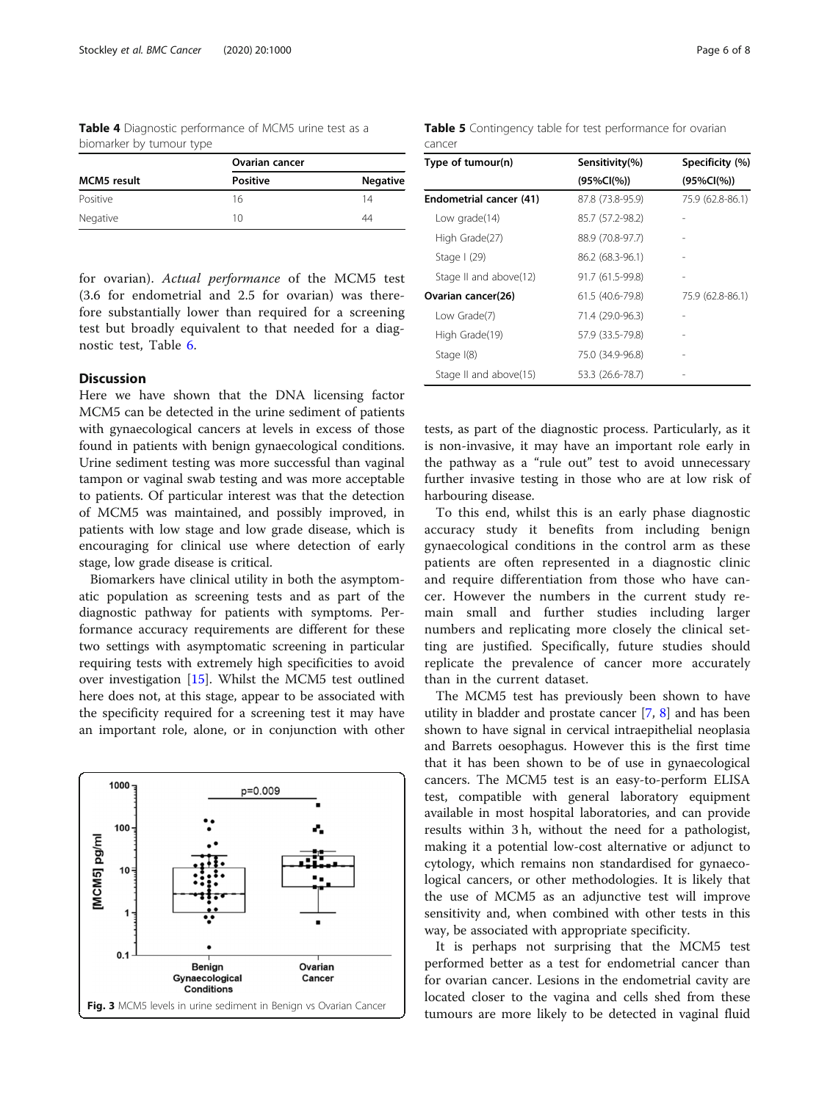<span id="page-5-0"></span>Table 4 Diagnostic performance of MCM5 urine test as a biomarker by tumour type

|                    | <b>Ovarian cancer</b> |                 |  |
|--------------------|-----------------------|-----------------|--|
| <b>MCM5</b> result | Positive              | <b>Negative</b> |  |
| Positive           | 16                    | 14              |  |
| Negative           | 10                    | 44              |  |
|                    |                       |                 |  |

for ovarian). Actual performance of the MCM5 test (3.6 for endometrial and 2.5 for ovarian) was therefore substantially lower than required for a screening test but broadly equivalent to that needed for a diagnostic test, Table [6](#page-6-0).

# Discussion

Here we have shown that the DNA licensing factor MCM5 can be detected in the urine sediment of patients with gynaecological cancers at levels in excess of those found in patients with benign gynaecological conditions. Urine sediment testing was more successful than vaginal tampon or vaginal swab testing and was more acceptable to patients. Of particular interest was that the detection of MCM5 was maintained, and possibly improved, in patients with low stage and low grade disease, which is encouraging for clinical use where detection of early stage, low grade disease is critical.

Biomarkers have clinical utility in both the asymptomatic population as screening tests and as part of the diagnostic pathway for patients with symptoms. Performance accuracy requirements are different for these two settings with asymptomatic screening in particular requiring tests with extremely high specificities to avoid over investigation [\[15](#page-7-0)]. Whilst the MCM5 test outlined here does not, at this stage, appear to be associated with the specificity required for a screening test it may have an important role, alone, or in conjunction with other



Table 5 Contingency table for test performance for ovarian cancer

| Type of tumour(n)       | Sensitivity(%)   | Specificity (%)  |
|-------------------------|------------------|------------------|
|                         | $(95\%CI(\%))$   | $(95\%CI(\%))$   |
| Endometrial cancer (41) | 87.8 (73.8-95.9) | 75.9 (62.8-86.1) |
| Low grade(14)           | 85.7 (57.2-98.2) |                  |
| High Grade(27)          | 88.9 (70.8-97.7) |                  |
| Stage $(29)$            | 86.2 (68.3-96.1) |                  |
| Stage II and above(12)  | 91.7 (61.5-99.8) |                  |
| Ovarian cancer(26)      | 61.5 (40.6-79.8) | 75.9 (62.8-86.1) |
| Low Grade(7)            | 71.4 (29.0-96.3) |                  |
| High Grade(19)          | 57.9 (33.5-79.8) |                  |
| Stage $I(8)$            | 75.0 (34.9-96.8) |                  |
| Stage II and above(15)  | 53.3 (26.6-78.7) |                  |

tests, as part of the diagnostic process. Particularly, as it is non-invasive, it may have an important role early in the pathway as a "rule out" test to avoid unnecessary further invasive testing in those who are at low risk of harbouring disease.

To this end, whilst this is an early phase diagnostic accuracy study it benefits from including benign gynaecological conditions in the control arm as these patients are often represented in a diagnostic clinic and require differentiation from those who have cancer. However the numbers in the current study remain small and further studies including larger numbers and replicating more closely the clinical setting are justified. Specifically, future studies should replicate the prevalence of cancer more accurately than in the current dataset.

The MCM5 test has previously been shown to have utility in bladder and prostate cancer [\[7](#page-7-0), [8](#page-7-0)] and has been shown to have signal in cervical intraepithelial neoplasia and Barrets oesophagus. However this is the first time that it has been shown to be of use in gynaecological cancers. The MCM5 test is an easy-to-perform ELISA test, compatible with general laboratory equipment available in most hospital laboratories, and can provide results within 3 h, without the need for a pathologist, making it a potential low-cost alternative or adjunct to cytology, which remains non standardised for gynaecological cancers, or other methodologies. It is likely that the use of MCM5 as an adjunctive test will improve sensitivity and, when combined with other tests in this way, be associated with appropriate specificity.

It is perhaps not surprising that the MCM5 test performed better as a test for endometrial cancer than for ovarian cancer. Lesions in the endometrial cavity are located closer to the vagina and cells shed from these tumours are more likely to be detected in vaginal fluid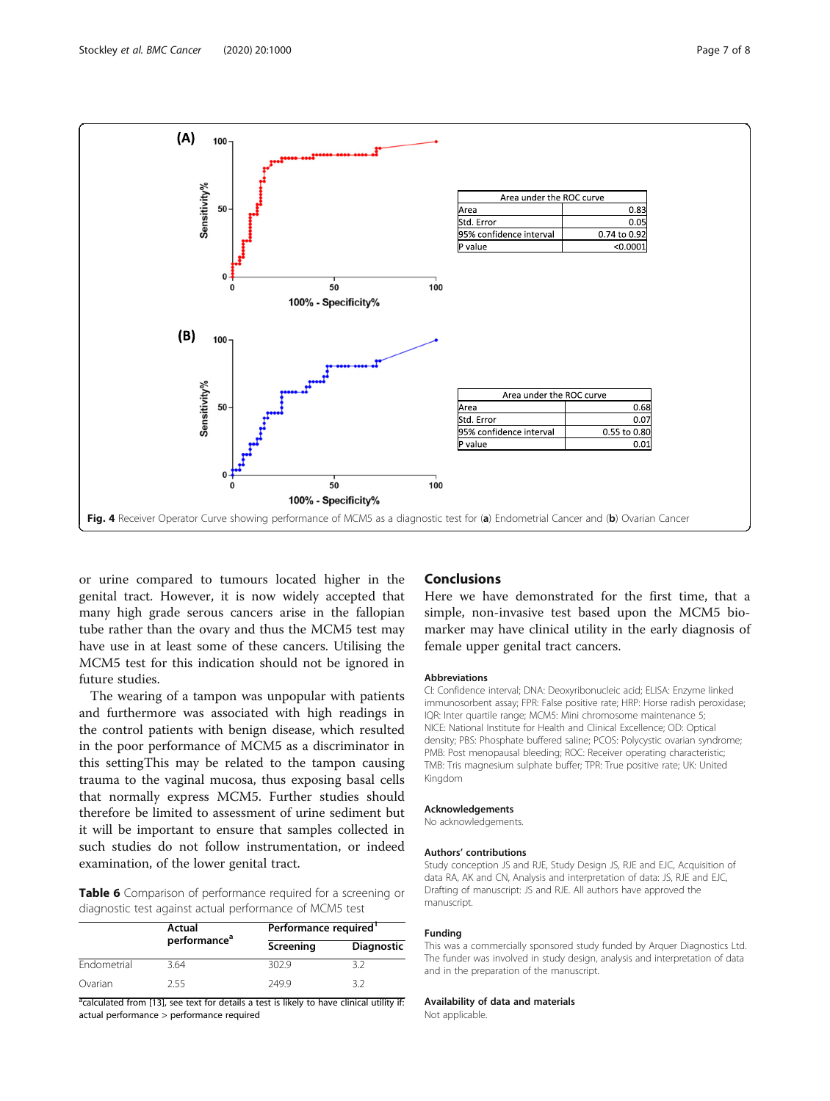<span id="page-6-0"></span>

or urine compared to tumours located higher in the genital tract. However, it is now widely accepted that many high grade serous cancers arise in the fallopian tube rather than the ovary and thus the MCM5 test may have use in at least some of these cancers. Utilising the MCM5 test for this indication should not be ignored in future studies.

The wearing of a tampon was unpopular with patients and furthermore was associated with high readings in the control patients with benign disease, which resulted in the poor performance of MCM5 as a discriminator in this settingThis may be related to the tampon causing trauma to the vaginal mucosa, thus exposing basal cells that normally express MCM5. Further studies should therefore be limited to assessment of urine sediment but it will be important to ensure that samples collected in such studies do not follow instrumentation, or indeed examination, of the lower genital tract.

Table 6 Comparison of performance required for a screening or diagnostic test against actual performance of MCM5 test

|             | Actual                   | Performance required |                   |  |
|-------------|--------------------------|----------------------|-------------------|--|
|             | performance <sup>a</sup> | Screening            | <b>Diagnostic</b> |  |
| Endometrial | 3.64                     | 302.9                |                   |  |
| Ovarian     | 255                      | 2499                 |                   |  |

<sup>a</sup>calculated from [13], see text for details a test is likely to have clinical utility if: actual performance > performance required

# Conclusions

Here we have demonstrated for the first time, that a simple, non-invasive test based upon the MCM5 biomarker may have clinical utility in the early diagnosis of female upper genital tract cancers.

#### Abbreviations

CI: Confidence interval; DNA: Deoxyribonucleic acid; ELISA: Enzyme linked immunosorbent assay; FPR: False positive rate; HRP: Horse radish peroxidase; IQR: Inter quartile range; MCM5: Mini chromosome maintenance 5; NICE: National Institute for Health and Clinical Excellence; OD: Optical density; PBS: Phosphate buffered saline; PCOS: Polycystic ovarian syndrome; PMB: Post menopausal bleeding; ROC: Receiver operating characteristic; TMB: Tris magnesium sulphate buffer; TPR: True positive rate; UK: United Kingdom

#### Acknowledgements

No acknowledgements.

#### Authors' contributions

Study conception JS and RJE, Study Design JS, RJE and EJC, Acquisition of data RA, AK and CN, Analysis and interpretation of data: JS, RJE and EJC, Drafting of manuscript: JS and RJE. All authors have approved the manuscript.

#### Funding

This was a commercially sponsored study funded by Arquer Diagnostics Ltd. The funder was involved in study design, analysis and interpretation of data and in the preparation of the manuscript.

#### Availability of data and materials

Not applicable.